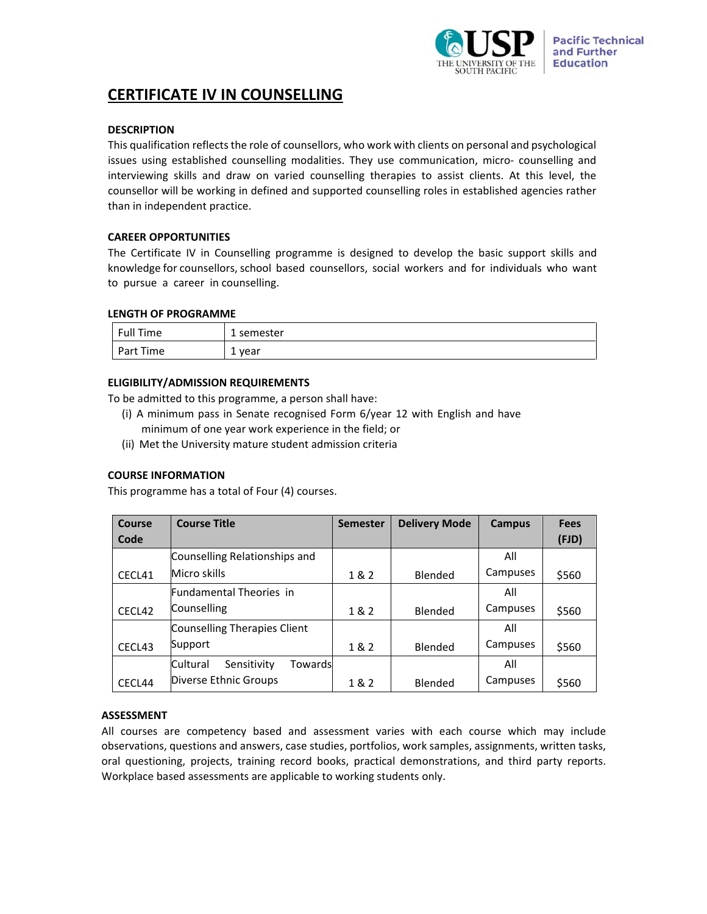

# **CERTIFICATE IV IN COUNSELLING**

# **DESCRIPTION**

This qualification reflects the role of counsellors, who work with clients on personal and psychological issues using established counselling modalities. They use communication, micro‐ counselling and interviewing skills and draw on varied counselling therapies to assist clients. At this level, the counsellor will be working in defined and supported counselling roles in established agencies rather than in independent practice.

# **CAREER OPPORTUNITIES**

The Certificate IV in Counselling programme is designed to develop the basic support skills and knowledge for counsellors, school based counsellors, social workers and for individuals who want to pursue a career in counselling.

#### **LENGTH OF PROGRAMME**

| <b>Full Time</b> | 1 semester |
|------------------|------------|
| Part Time        | year<br>-  |

# **ELIGIBILITY/ADMISSION REQUIREMENTS**

To be admitted to this programme, a person shall have:

- (i) A minimum pass in Senate recognised Form 6/year 12 with English and have minimum of one year work experience in the field; or
- (ii) Met the University mature student admission criteria

# **COURSE INFORMATION**

This programme has a total of Four (4) courses.

| Course | <b>Course Title</b>                | <b>Semester</b> | <b>Delivery Mode</b> | <b>Campus</b> | <b>Fees</b> |
|--------|------------------------------------|-----------------|----------------------|---------------|-------------|
| Code   |                                    |                 |                      |               | (FJD)       |
|        | Counselling Relationships and      |                 |                      | All           |             |
| CECL41 | Micro skills                       | 1 & 2           | <b>Blended</b>       | Campuses      | \$560       |
|        | Fundamental Theories in            |                 |                      | All           |             |
| CECL42 | Counselling                        | 1 & 2           | <b>Blended</b>       | Campuses      | \$560       |
|        | Counselling Therapies Client       |                 |                      | All           |             |
| CECL43 | Support                            | 1 & 2           | <b>Blended</b>       | Campuses      | \$560       |
|        | Cultural<br>Sensitivity<br>Towards |                 |                      | All           |             |
| CECL44 | Diverse Ethnic Groups              | 1 & 2           | Blended              | Campuses      | \$560       |

# **ASSESSMENT**

All courses are competency based and assessment varies with each course which may include observations, questions and answers, case studies, portfolios, work samples, assignments, written tasks, oral questioning, projects, training record books, practical demonstrations, and third party reports. Workplace based assessments are applicable to working students only.